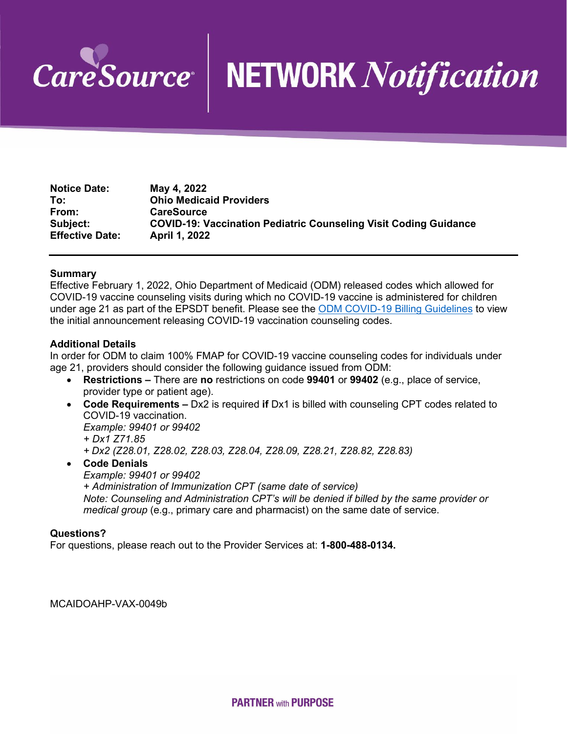

## **NETWORK Notification**

| <b>Notice Date:</b>    | May 4, 2022                                                             |
|------------------------|-------------------------------------------------------------------------|
| To:                    | <b>Ohio Medicaid Providers</b>                                          |
| From:                  | <b>CareSource</b>                                                       |
| Subject:               | <b>COVID-19: Vaccination Pediatric Counseling Visit Coding Guidance</b> |
| <b>Effective Date:</b> | <b>April 1, 2022</b>                                                    |

## **Summary**

Effective February 1, 2022, Ohio Department of Medicaid (ODM) released codes which allowed for COVID-19 vaccine counseling visits during which no COVID-19 vaccine is administered for children under age 21 as part of the EPSDT benefit. Please see the [ODM COVID-19 Billing Guidelines](https://medicaid.ohio.gov/static/Providers/COVID19/COVID-19+Vaccine+administration_ODM+billing+guidelines_updated+03162022.pdf) to view the initial announcement releasing COVID-19 vaccination counseling codes.

## **Additional Details**

In order for ODM to claim 100% FMAP for COVID-19 vaccine counseling codes for individuals under age 21, providers should consider the following guidance issued from ODM:

- **Restrictions –** There are **no** restrictions on code **99401** or **99402** (e.g., place of service, provider type or patient age).
- **Code Requirements –** Dx2 is required **if** Dx1 is billed with counseling CPT codes related to COVID-19 vaccination.

*Example: 99401 or 99402*

*+ Dx1 Z71.85*

*+ Dx2 (Z28.01, Z28.02, Z28.03, Z28.04, Z28.09, Z28.21, Z28.82, Z28.83)*

• **Code Denials**

*Example: 99401 or 99402 + Administration of Immunization CPT (same date of service) Note: Counseling and Administration CPT's will be denied if billed by the same provider or medical group* (e.g., primary care and pharmacist) on the same date of service.

## **Questions?**

For questions, please reach out to the Provider Services at: **1-800-488-0134.**

MCAIDOAHP-VAX-0049b